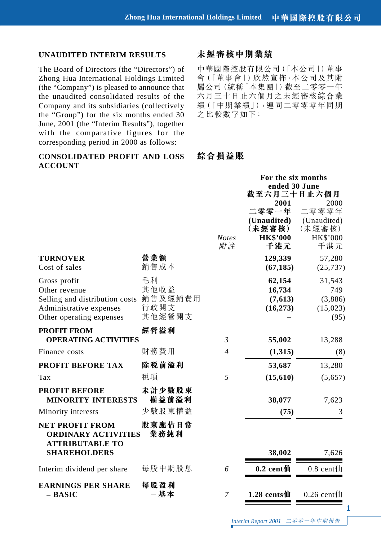#### **UNAUDITED INTERIM RESULTS**

The Board of Directors (the "Directors") of Zhong Hua International Holdings Limited (the "Company") is pleased to announce that the unaudited consolidated results of the Company and its subsidiaries (collectively the "Group") for the six months ended 30 June, 2001 (the "Interim Results"), together with the comparative figures for the corresponding period in 2000 as follows:

## **CONSOLIDATED PROFIT AND LOSS ACCOUNT**

# **未經審核中期業績**

中華國際控股有限公司(「本公司」)董事 會(「董事會」)欣然宣佈,本公司及其附 屬公司(統稱「本集團」)截至二零零一年 六月三十日止六個月之未經審核綜合業 績(「中期業績」),連同二零零零年同期 之比較數字如下:

# **綜合損益賬**

|                                                                        |                    | For the six months<br>ended 30 June                              |                                                                  |
|------------------------------------------------------------------------|--------------------|------------------------------------------------------------------|------------------------------------------------------------------|
|                                                                        | <b>Notes</b><br>附註 | 2001<br>二零零一年<br>(Unaudited)<br>(未經審核)<br><b>HK\$'000</b><br>千港元 | 2000<br>二零零零年<br>(Unaudited)<br>(未經審核)<br><b>HK\$'000</b><br>千港元 |
| 營業額<br>銷售成本                                                            |                    | 129,339<br>(67, 185)                                             | 57,280<br>(25, 737)                                              |
| 毛利<br>其他收益<br>Selling and distribution costs 銷售及經銷費用<br>行政開支<br>其他經營開支 |                    | 62,154<br>16,734<br>(7,613)<br>(16, 273)                         | 31,543<br>749<br>(3,886)<br>(15,023)<br>(95)                     |
| 經營溢利<br><b>OPERATING ACTIVITIES</b>                                    |                    |                                                                  | 13,288                                                           |
| 財務費用                                                                   | $\overline{4}$     | (1,315)                                                          | (8)                                                              |
| 除税前溢利                                                                  |                    | 53,687                                                           | 13,280                                                           |
| 税項                                                                     | 5                  | (15, 610)                                                        | (5,657)                                                          |
| 未計少數股東<br>權益前溢利<br><b>MINORITY INTERESTS</b>                           |                    | 38,077                                                           | 7,623                                                            |
| 少數股東權益                                                                 |                    | (75)                                                             | 3                                                                |
| 股東應佔日常<br>業務純利<br><b>ORDINARY ACTIVITIES</b>                           |                    |                                                                  |                                                                  |
|                                                                        |                    | 38,002                                                           | 7,626                                                            |
| 每股中期股息                                                                 | 6                  | $0.2$ cent仙                                                      | $0.8$ cent $\text{1}$                                            |
| 每股盈利<br>-基本                                                            | 7                  | 1.28 cents仙                                                      | $0.26$ cent $\text{1}$                                           |
|                                                                        |                    | $\mathfrak{Z}$                                                   | 截至六月三十日止六個月<br>55,002                                            |

二零零一年中期報告 *Interim Report 2001*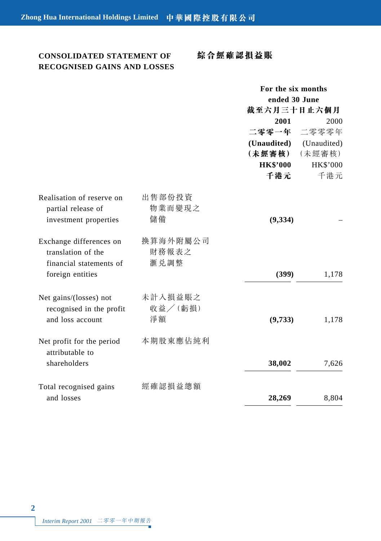# **CONSOLIDATED STATEMENT OF RECOGNISED GAINS AND LOSSES**

# **綜合經確認損益賬**

|                                                                                              |                           | For the six months |             |
|----------------------------------------------------------------------------------------------|---------------------------|--------------------|-------------|
|                                                                                              |                           | ended 30 June      |             |
|                                                                                              |                           | 截至六月三十日止六個月        |             |
|                                                                                              |                           | 2001               | 2000        |
|                                                                                              |                           | 二零零一年              | 二零零零年       |
|                                                                                              |                           | (Unaudited)        | (Unaudited) |
|                                                                                              |                           | (未經審核)             | (未經審核)      |
|                                                                                              |                           | <b>HK\$'000</b>    | HK\$'000    |
|                                                                                              |                           | 千港元                | 千港元         |
| Realisation of reserve on<br>partial release of<br>investment properties                     | 出售部份投資<br>物業而變現之<br>儲備    | (9, 334)           |             |
| Exchange differences on<br>translation of the<br>financial statements of<br>foreign entities | 換算海外附屬公司<br>財務報表之<br>滙兑調整 | (399)              | 1,178       |
| Net gains/(losses) not<br>recognised in the profit<br>and loss account                       | 未計入損益賬之<br>收益/(虧損)<br>淨額  | (9,733)            | 1,178       |
| Net profit for the period<br>attributable to<br>shareholders                                 | 本期股東應佔純利                  | 38,002             | 7,626       |
| Total recognised gains<br>and losses                                                         | 經確認損益總額                   | 28,269             | 8,804       |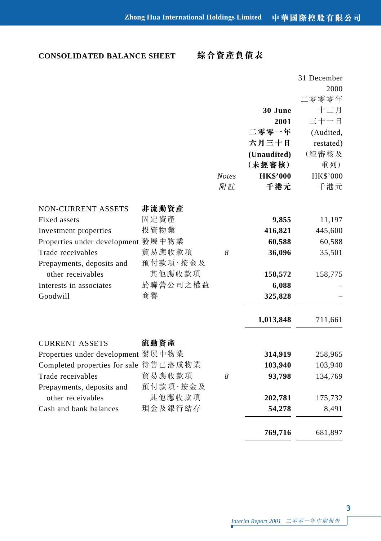# **CONSOLIDATED BALANCE SHEET**

**綜合資產負債表**

|                                       |          |              |                 | 31 December     |
|---------------------------------------|----------|--------------|-----------------|-----------------|
|                                       |          |              |                 | 2000            |
|                                       |          |              |                 | 二零零零年           |
|                                       |          |              | 30 June         | 十二月             |
|                                       |          |              | 2001            | 三十一日            |
|                                       |          |              | 二零零一年           | (Audited,       |
|                                       |          |              | 六月三十日           | restated)       |
|                                       |          |              | (Unaudited)     | (經審核及           |
|                                       |          |              | (未經審核)          | 重列)             |
|                                       |          | <b>Notes</b> | <b>HK\$'000</b> | <b>HK\$'000</b> |
|                                       |          | 附註           | 千港元             | 千港元             |
| <b>NON-CURRENT ASSETS</b>             | 非流動資產    |              |                 |                 |
| Fixed assets                          | 固定資產     |              | 9,855           | 11,197          |
| Investment properties                 | 投資物業     |              | 416,821         | 445,600         |
| Properties under development 發展中物業    |          |              | 60,588          | 60,588          |
| Trade receivables                     | 貿易應收款項   | 8            | 36,096          | 35,501          |
| Prepayments, deposits and             | 預付款項·按金及 |              |                 |                 |
| other receivables                     | 其他應收款項   |              | 158,572         | 158,775         |
| Interests in associates               | 於聯營公司之權益 |              | 6,088           |                 |
| Goodwill                              | 商譽       |              | 325,828         |                 |
|                                       |          |              | 1,013,848       | 711,661         |
| <b>CURRENT ASSETS</b>                 | 流動資產     |              |                 |                 |
| Properties under development 發展中物業    |          |              | 314,919         | 258,965         |
| Completed properties for sale 待售已落成物業 |          |              | 103,940         | 103,940         |
| Trade receivables                     | 貿易應收款項   | 8            | 93,798          | 134,769         |
| Prepayments, deposits and             | 預付款項·按金及 |              |                 |                 |
| other receivables                     | 其他應收款項   |              | 202,781         | 175,732         |
| Cash and bank balances                | 現金及銀行結存  |              | 54,278          | 8,491           |
|                                       |          |              |                 |                 |
|                                       |          |              | 769,716         | 681,897         |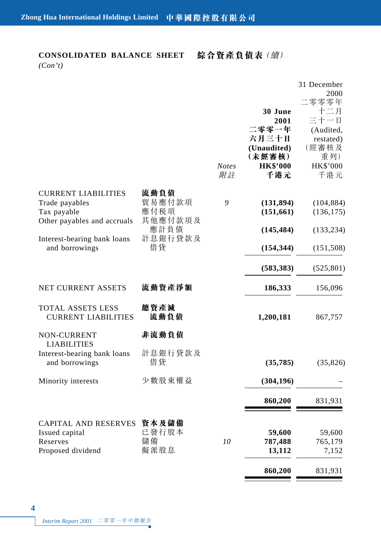# **CONSOLIDATED BALANCE SHEET**

**綜合資產負債表**(續)

*(Con't)*

|                                                                                                                           |                                                      | <b>Notes</b><br>附註 | 30 June<br>2001<br>二零零一年<br>六月三十日<br>(Unaudited)<br>(未經審核)<br><b>HK\$'000</b><br>千港元 | 31 December<br>2000<br>二零零零年<br>十二月<br>三十一日<br>(Audited,<br>restated)<br>(經審核及<br>重列)<br>HK\$'000<br>千港元 |
|---------------------------------------------------------------------------------------------------------------------------|------------------------------------------------------|--------------------|--------------------------------------------------------------------------------------|----------------------------------------------------------------------------------------------------------|
| <b>CURRENT LIABILITIES</b><br>Trade payables<br>Tax payable<br>Other payables and accruals<br>Interest-bearing bank loans | 流動負債<br>貿易應付款項<br>應付税項<br>其他應付款項及<br>應計負債<br>計息銀行貸款及 | 9                  | (131, 894)<br>(151, 661)<br>(145, 484)                                               | (104, 884)<br>(136, 175)<br>(133, 234)                                                                   |
| and borrowings                                                                                                            | 借貸                                                   |                    | (154, 344)<br>(583, 383)                                                             | (151, 508)<br>(525, 801)                                                                                 |
| NET CURRENT ASSETS<br>TOTAL ASSETS LESS<br><b>CURRENT LIABILITIES</b>                                                     | 流動資產淨額<br>總資產減<br>流動負債                               |                    | 186,333<br>1,200,181                                                                 | 156,096<br>867,757                                                                                       |
| NON-CURRENT<br><b>LIABILITIES</b><br>Interest-bearing bank loans<br>and borrowings                                        | 非流動負債<br>計息銀行貸款及<br>借貸                               |                    | (35, 785)                                                                            | (35, 826)                                                                                                |
| Minority interests                                                                                                        | 少數股東權益                                               |                    | (304, 196)<br>860,200                                                                | 831,931                                                                                                  |
| CAPITAL AND RESERVES<br>Issued capital<br>Reserves<br>Proposed dividend                                                   | 資本及儲備<br>已發行股本<br>儲備<br>擬派股息                         | 10                 | 59,600<br>787,488<br>13,112                                                          | 59,600<br>765,179<br>7,152                                                                               |
|                                                                                                                           |                                                      |                    | 860,200                                                                              | 831,931                                                                                                  |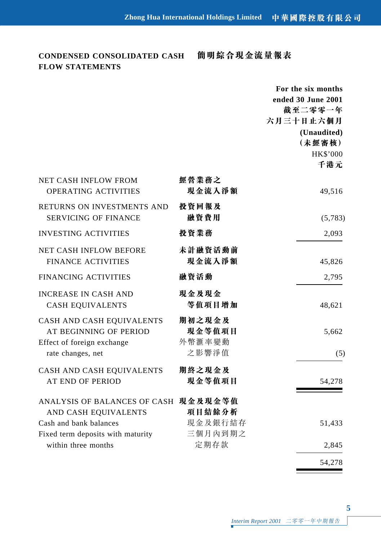# **CONDENSED CONSOLIDATED CASH FLOW STATEMENTS**

# **簡明綜合現金流量報表**

|                                                                                                        |                                     | For the six months<br>ended 30 June 2001<br>截至二零零一年<br>六月三十日止六個月<br>(Unaudited)<br>(未經審核)<br><b>HK\$'000</b><br>千港元 |
|--------------------------------------------------------------------------------------------------------|-------------------------------------|---------------------------------------------------------------------------------------------------------------------|
| NET CASH INFLOW FROM<br>OPERATING ACTIVITIES                                                           | 經營業務之<br>現金流入淨額                     | 49,516                                                                                                              |
| RETURNS ON INVESTMENTS AND<br>SERVICING OF FINANCE                                                     | 投資回報及<br>融資費用                       | (5,783)                                                                                                             |
| INVESTING ACTIVITIES                                                                                   | 投資業務                                | 2,093                                                                                                               |
| NET CASH INFLOW BEFORE<br><b>FINANCE ACTIVITIES</b>                                                    | 未計融資活動前<br>現金流入淨額                   | 45,826                                                                                                              |
| FINANCING ACTIVITIES                                                                                   | 融資活動                                | 2,795                                                                                                               |
| <b>INCREASE IN CASH AND</b><br><b>CASH EQUIVALENTS</b>                                                 | 現金及現金<br>等值項目增加                     | 48,621                                                                                                              |
| CASH AND CASH EQUIVALENTS<br>AT BEGINNING OF PERIOD<br>Effect of foreign exchange<br>rate changes, net | 期初之現金及<br>現金等值項目<br>外幣滙率變動<br>之影響淨值 | 5,662<br>(5)                                                                                                        |
| CASH AND CASH EQUIVALENTS<br><b>AT END OF PERIOD</b>                                                   | 期終之現金及<br>現金等值項目                    | 54,278                                                                                                              |
| ANALYSIS OF BALANCES OF CASH 現金及現金等值<br>AND CASH EQUIVALENTS<br>Cash and bank balances                 | 項目結餘分析<br>現金及銀行結存                   | 51,433                                                                                                              |
| Fixed term deposits with maturity                                                                      | 三個月內到期之                             |                                                                                                                     |
| within three months                                                                                    | 定期存款                                | 2,845                                                                                                               |
|                                                                                                        |                                     | 54,278                                                                                                              |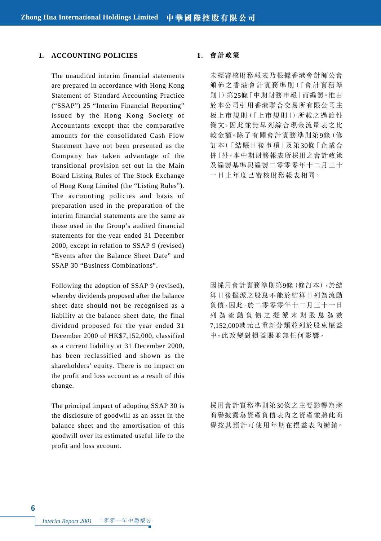### **1. ACCOUNTING POLICIES**

The unaudited interim financial statements are prepared in accordance with Hong Kong Statement of Standard Accounting Practice ("SSAP") 25 "Interim Financial Reporting" issued by the Hong Kong Society of Accountants except that the comparative amounts for the consolidated Cash Flow Statement have not been presented as the Company has taken advantage of the transitional provision set out in the Main Board Listing Rules of The Stock Exchange of Hong Kong Limited (the "Listing Rules"). The accounting policies and basis of preparation used in the preparation of the interim financial statements are the same as those used in the Group's audited financial statements for the year ended 31 December 2000, except in relation to SSAP 9 (revised) "Events after the Balance Sheet Date" and SSAP 30 "Business Combinations".

Following the adoption of SSAP 9 (revised), whereby dividends proposed after the balance sheet date should not be recognised as a liability at the balance sheet date, the final dividend proposed for the year ended 31 December 2000 of HK\$7,152,000, classified as a current liability at 31 December 2000, has been reclassified and shown as the shareholders' equity. There is no impact on the profit and loss account as a result of this change.

The principal impact of adopting SSAP 30 is the disclosure of goodwill as an asset in the balance sheet and the amortisation of this goodwill over its estimated useful life to the profit and loss account.

#### **1. 會計政策**

未經審核財務報表乃根據香港會計師公會 頒佈之香港會計實務準則(「會計實務準 則」)第25條「中期財務申報」而編製。惟由 於本公司引用香港聯合交易所有限公司主 板上市規則(「上市規則」)所載之過渡性 條文,因此並無早列綜合現金流量表之比 較金額。除了有關會計實務準則第9條(修 訂本)「結賬日後事項」及第30條「企業合 併」外,本中期財務報表所採用之會計政策 及編製基準與編製二零零零年十二月三十 一日止年度已審核財務報表相同。

因採用會計實務準則第9條(修訂本),於結 算日後擬派之股息不能於結算日列為流動 負債,因此,於二零零零年十二月三十一日 列為流動負債之擬派末期股息為數 7,152,000港元已重新分類並列於股東權益 中。此改變對損益賬並無任何影響。

採用會計實務準則第30條之主要影響為將 商譽披露為資產負債表內之資產並將此商 譽按其預計可使用年期在損益表內攤銷。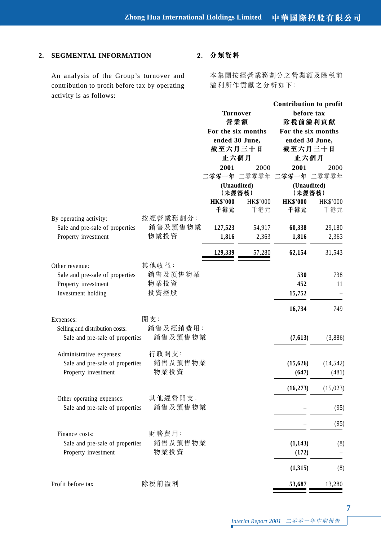## **2. SEGMENTAL INFORMATION**

An analysis of the Group's turnover and contribution to profit before tax by operating activity is as follows:

## **2. 分類資料**

本集團按經營業務劃分之營業額及除稅前 溢利所作貢獻之分析如下:

|                                   |          |                 |                       | Contribution to profit |                       |
|-----------------------------------|----------|-----------------|-----------------------|------------------------|-----------------------|
|                                   |          |                 | Turnover              |                        | before tax            |
|                                   |          |                 | 營業額                   |                        | 除税前溢利貢獻               |
|                                   |          |                 | For the six months    |                        | For the six months    |
|                                   |          |                 | ended 30 June,        |                        | ended 30 June,        |
|                                   |          | 截至六月三十日         |                       | 截至六月三十日                |                       |
|                                   |          | 止六個月            |                       | 止六個月                   |                       |
|                                   |          | 2001            | 2000                  | 2001                   | 2000                  |
|                                   |          |                 | 二零零一年 二零零零年           |                        | 二零零一年 二零零零年           |
|                                   |          |                 | (Unaudited)<br>(未經審核) |                        | (Unaudited)<br>(未經審核) |
|                                   |          | <b>HK\$'000</b> | HK\$'000              | <b>HK\$'000</b>        | HK\$'000              |
|                                   |          | 千港元             | 千港元                   | 千港元                    | 千港元                   |
| By operating activity:            | 按經營業務劃分: |                 |                       |                        |                       |
| Sale and pre-sale of properties   | 銷售及預售物業  | 127,523         | 54,917                | 60,338                 | 29,180                |
| 物業投資<br>Property investment       |          | 1,816           | 2,363                 | 1,816                  | 2,363                 |
|                                   |          | 129,339         | 57,280                | 62,154                 | 31,543                |
| 其他收益:<br>Other revenue:           |          |                 |                       |                        |                       |
| Sale and pre-sale of properties   | 銷售及預售物業  |                 |                       | 530                    | 738                   |
| 物業投資<br>Property investment       |          |                 |                       | 452                    | 11                    |
| 投資控股<br>Investment holding        |          |                 |                       | 15,752                 |                       |
|                                   |          |                 |                       | 16,734                 | 749                   |
| 開 支:<br>Expenses:                 |          |                 |                       |                        |                       |
| Selling and distribution costs:   | 銷售及經銷費用: |                 |                       |                        |                       |
| Sale and pre-sale of properties   | 銷售及預售物業  |                 |                       | (7,613)                | (3,886)               |
| 行政開支:<br>Administrative expenses: |          |                 |                       |                        |                       |
| Sale and pre-sale of properties   | 銷售及預售物業  |                 |                       | (15,626)               | (14, 542)             |
| Property investment               | 物業投資     |                 |                       | (647)                  | (481)                 |
|                                   |          |                 |                       | (16, 273)              | (15, 023)             |
| Other operating expenses:         | 其他經營開支:  |                 |                       |                        |                       |
| Sale and pre-sale of properties   | 銷售及預售物業  |                 |                       |                        | (95)                  |
|                                   |          |                 |                       |                        | (95)                  |
| 財務費用:<br>Finance costs:           |          |                 |                       |                        |                       |
| Sale and pre-sale of properties   | 銷售及預售物業  |                 |                       | (1, 143)               | (8)                   |
| Property investment               | 物業投資     |                 |                       | (172)                  |                       |
|                                   |          |                 |                       | (1,315)                | (8)                   |
| 除税前溢利<br>Profit before tax        |          |                 |                       | 53,687                 | 13,280                |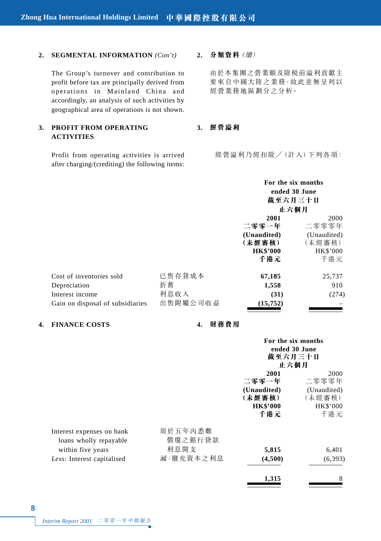#### **2. SEGMENTAL INFORMATION** *(Con't)*

The Group's turnover and contribution to profit before tax are principally derived from operations in Mainland China and accordingly, an analysis of such activities by geographical area of operations is not shown.

#### **3. PROFIT FROM OPERATING ACTIVITIES**

Profit from operating activities is arrived after charging/(crediting) the following items:

#### **2. 分類資料**(續)

由於本集團之營業額及除稅前溢利貢獻主 要來自中國大陸之業務,故此並無呈列以 經營業務地區劃分之分析。

## **3. 經營溢利**

經營溢利乃經扣除/(計入)下列各項:

|                                  |          | For the six months |             |  |
|----------------------------------|----------|--------------------|-------------|--|
|                                  |          | ended 30 June      |             |  |
|                                  |          | 截至六月三十日            |             |  |
|                                  |          | 止六個月<br>2000       |             |  |
|                                  |          | 2001               |             |  |
|                                  |          | 二零零一年              | 二零零零年       |  |
|                                  |          | (Unaudited)        | (Unaudited) |  |
|                                  |          | (未經審核)             | (未經審核)      |  |
|                                  |          | <b>HK\$'000</b>    | HK\$'000    |  |
|                                  |          | 千港元                | 千港元         |  |
| Cost of inventories sold         | 已售存貨成本   | 67,185             | 25,737      |  |
| Depreciation                     | 折舊       | 1,558              | 910         |  |
| Interest income                  | 利息收入     | (31)               | (274)       |  |
| Gain on disposal of subsidiaries | 出售附屬公司收益 | (15, 752)          |             |  |

## **4. FINANCE COSTS 4. 財務費用**

|                                                     |                    | For the six months<br>ended 30 June<br>截至六月三十日<br>止六個月 |                       |
|-----------------------------------------------------|--------------------|--------------------------------------------------------|-----------------------|
|                                                     |                    | 2001<br>二零零一年                                          | 2000<br>二零零零年         |
|                                                     |                    | (Unaudited)<br>(未經審核)                                  | (Unaudited)<br>(未經審核) |
|                                                     |                    | <b>HK\$'000</b><br>千港元                                 | HK\$'000<br>千港元       |
| Interest expenses on bank<br>loans wholly repayable | 須於五年內悉數<br>償還之銀行貸款 |                                                        |                       |
| within five years                                   | 利息開支               | 5,815                                                  | 6,401                 |
| Less: Interest capitalised                          | 減:撥充資本之利息          | (4,500)                                                | (6, 393)              |
|                                                     |                    | 1,315                                                  | 8                     |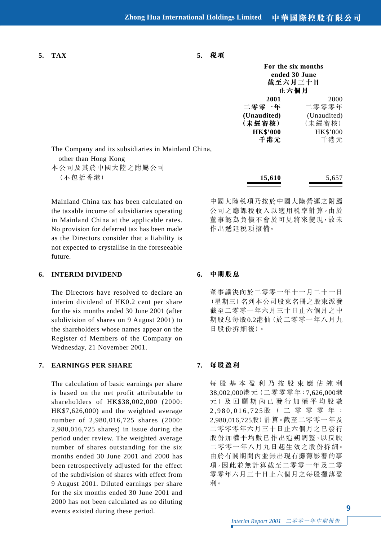**5. TAX 5. 稅項**

|           | 截至六月三十日<br>止六個月 | For the six months<br>ended 30 June |
|-----------|-----------------|-------------------------------------|
|           | 2001            | 2000                                |
|           | 二零零一年           | 二零零零年                               |
|           | (Unaudited)     | (Unaudited)                         |
|           | (未經審核)          | (未經審核)                              |
|           | <b>HK\$'000</b> | HK\$'000                            |
|           | 千港元             | 千港元                                 |
| ıd China, |                 |                                     |
|           |                 |                                     |

The Company and its subsidiaries in Mainlan

Mainland China tax has been calculated on the taxable income of subsidiaries operating in Mainland China at the applicable rates. No provision for deferred tax has been made as the Directors consider that a liability is not expected to crystallise in the foreseeable future.

#### **6. INTERIM DIVIDEND**

The Directors have resolved to declare an interim dividend of HK0.2 cent per share for the six months ended 30 June 2001 (after subdivision of shares on 9 August 2001) to the shareholders whose names appear on the Register of Members of the Company on Wednesday, 21 November 2001.

## **7. EARNINGS PER SHARE**

The calculation of basic earnings per share is based on the net profit attributable to shareholders of HK\$38,002,000 (2000: HK\$7,626,000) and the weighted average number of 2,980,016,725 shares (2000: 2,980,016,725 shares) in issue during the period under review. The weighted average number of shares outstanding for the six months ended 30 June 2001 and 2000 has been retrospectively adjusted for the effect of the subdivision of shares with effect from 9 August 2001. Diluted earnings per share for the six months ended 30 June 2001 and 2000 has not been calculated as no diluting events existed during these period.

中國大陸稅項乃按於中國大陸營運之附屬 公司之應課稅收入以適用稅率計算。由於 董事認為負債不會於可見將來變現,故未 作出遞延税項撥備。

#### **6. 中期股息**

董事議決向於二零零一年十一月二十一日 (星期三)名列本公司股東名冊之股東派發 截至二零零一年六月三十日止六個月之中 期股息每股0.2港仙(於二零零一年八月九 日股份拆細後)。

#### **7. 每股盈利**

每股基本盈利乃按股東應佔純利 38,002,000港元(二零零零年:7,626,000港 元)及回顧期內已發行加權平均股數 2,980,016,725股( 二 零 零 零 年: 2,980,016,725股)計算。截至二零零一年及 二零零零年六月三十日止六個月之已發行 股份加權平均數已作出追朔調整,以反映 二零零一年八月九日起生效之股份拆細。 由於有關期間內並無出現有攤薄影響的事 項,因此並無計算截至二零零一年及二零 零零年六月三十日止六個月之每股攤薄盈 利。

other than Hong Kong

本公司及其於中國大陸之附屬公司 (不包括香港) **15,610** 5,657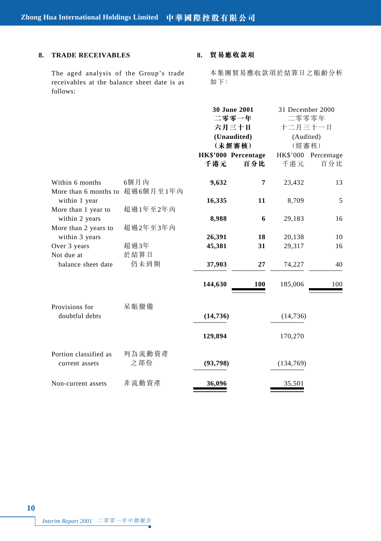## **8. TRADE RECEIVABLES**

The aged analysis of the Group's trade receivables at the balance sheet date is as follows:

## **8. 貿易應收款項**

本集團貿易應收款項於結算日之賬齡分析 如下:

|                                          |                   | <b>30 June 2001</b><br>二零零一年<br>六月三十日<br>(Unaudited)<br>(未經審核)<br>HK\$'000 Percentage |     | 31 December 2000<br>二零零零年<br>十二月三十一日<br>(Audited)<br>(經審核)<br>HK\$'000 Percentage |     |
|------------------------------------------|-------------------|---------------------------------------------------------------------------------------|-----|-----------------------------------------------------------------------------------|-----|
|                                          |                   | 千港元                                                                                   | 百分比 | 千港元                                                                               | 百分比 |
| Within 6 months<br>More than 6 months to | 6個月內<br>超過6個月至1年內 | 9,632                                                                                 | 7   | 23,432                                                                            | 13  |
| within 1 year                            |                   | 16,335                                                                                | 11  | 8,709                                                                             | 5   |
| More than 1 year to<br>within 2 years    | 超過1年至2年內          | 8,988                                                                                 | 6   | 29,183                                                                            | 16  |
| More than 2 years to<br>within 3 years   | 超過2年至3年內          | 26,391                                                                                | 18  | 20,138                                                                            | 10  |
| Over 3 years                             | 超過3年              | 45,381                                                                                | 31  | 29,317                                                                            | 16  |
| Not due at<br>balance sheet date         | 於結算日<br>仍未到期      | 37,903                                                                                | 27  | 74,227                                                                            | 40  |
|                                          |                   | 144,630                                                                               | 100 | 185,006                                                                           | 100 |
| Provisions for                           | 呆賬撥備              |                                                                                       |     |                                                                                   |     |
| doubtful debts                           |                   | (14, 736)                                                                             |     | (14, 736)                                                                         |     |
|                                          |                   | 129,894                                                                               |     | 170,270                                                                           |     |
| Portion classified as<br>current assets  | 列為流動資產<br>之部份     | (93,798)                                                                              |     | (134,769)                                                                         |     |
| Non-current assets                       | 非流動資產             | 36,096                                                                                |     | 35,501                                                                            |     |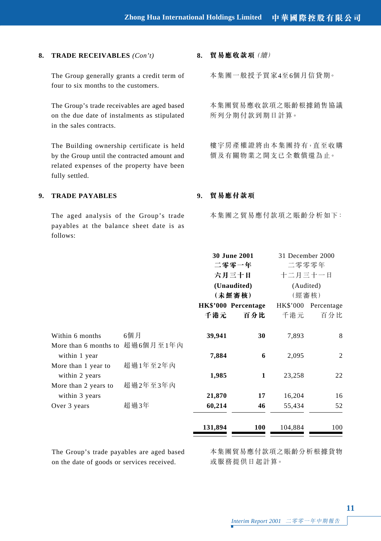#### **8. TRADE RECEIVABLES** *(Con't)*

The Group generally grants a credit term of four to six months to the customers.

The Group's trade receivables are aged based on the due date of instalments as stipulated in the sales contracts.

The Building ownership certificate is held by the Group until the contracted amount and related expenses of the property have been fully settled.

**8. 貿易應收款項**(續)

本集團一般授予買家4至6個月信貸期。

本集團貿易應收款項之賬齡根據銷售協議 所列分期付款到期日計算。

樓宇房產權證將由本集團持有,直至收購 價及有關物業之開支已全數償還為止。

## **9. TRADE PAYABLES**

The aged analysis of the Group's trade payables at the balance sheet date is as follows:

### **9. 貿易應付款項**

本集團之貿易應付款項之賬齡分析如下:

|                                        |           |         | 30 June 2001<br>二零零一年<br>六月三十日 | 31 December 2000<br>二零零零年<br>十二月三十一日 |            |
|----------------------------------------|-----------|---------|--------------------------------|--------------------------------------|------------|
|                                        |           |         | (Unaudited)<br>(未經審核)          | (Audited)<br>(經審核)                   |            |
|                                        |           |         | HK\$'000 Percentage            | HK\$'000                             | Percentage |
|                                        |           | 千港元     | 百分比                            | 千港元                                  | 百分比        |
| Within 6 months                        | 6個月       | 39,941  | 30                             | 7,893                                | 8          |
| More than 6 months to<br>within 1 year | 超過6個月至1年內 | 7,884   | 6                              | 2,095                                | 2          |
| More than 1 year to                    | 超過1年至2年內  |         |                                |                                      |            |
| within 2 years                         |           | 1,985   | 1                              | 23,258                               | 22         |
| More than 2 years to                   | 超過2年至3年內  |         |                                |                                      |            |
| within 3 years                         |           | 21,870  | 17                             | 16,204                               | 16         |
| Over 3 years                           | 超過3年      | 60,214  | 46                             | 55,434                               | 52         |
|                                        |           | 131,894 | 100                            | 104,884                              | 100        |

The Group's trade payables are aged based on the date of goods or services received.

本集團貿易應付款項之賬齡分析根據貨物 或服務提供日起計算。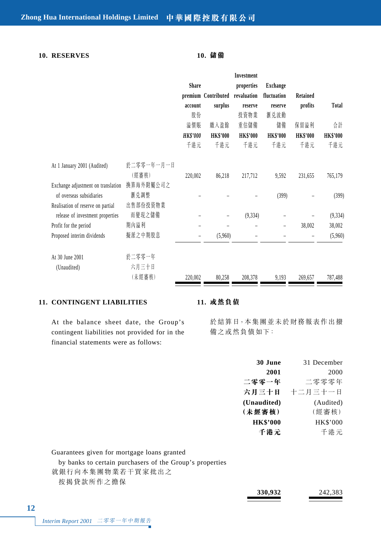## **10. RESERVES 10. 儲備**

|                                    |            |                          |                     | Investment      |                 |                 |                 |
|------------------------------------|------------|--------------------------|---------------------|-----------------|-----------------|-----------------|-----------------|
|                                    |            | <b>Share</b>             |                     | properties      | Exchange        |                 |                 |
|                                    |            |                          | premium Contributed | revaluation     | fluctuation     | Retained        |                 |
|                                    |            | account                  | surplus             | reserve         | reserve         | profits         | Total           |
|                                    |            | 股份                       |                     | 投資物業            | 滙兑波動            |                 |                 |
|                                    |            | 溢價賬                      | 繳入盈餘                | 重估儲備            | 儲備              | 保留溢利            | 合計              |
|                                    |            | <b>HK\$'000</b>          | <b>HK\$'000</b>     | <b>HK\$'000</b> | <b>HK\$'000</b> | <b>HK\$'000</b> | <b>HK\$'000</b> |
|                                    |            | 千港元                      | 千港元                 | 千港元             | 千港元             | 千港元             | 千港元             |
| At 1 January 2001 (Audited)        | 於二零零一年一月一日 |                          |                     |                 |                 |                 |                 |
|                                    | (經審核)      | 220,002                  | 86,218              | 217,712         | 9,592           | 231,655         | 765,179         |
| Exchange adjustment on translation | 换算海外附屬公司之  |                          |                     |                 |                 |                 |                 |
| of overseas subsidiaries           | 滙兑調整       |                          |                     |                 | (399)           |                 | (399)           |
| Realisation of reserve on partial  | 出售部份投資物業   |                          |                     |                 |                 |                 |                 |
| release of investment properties   | 而變現之儲備     |                          | $\equiv$            | (9, 334)        |                 |                 | (9, 334)        |
| Profit for the period              | 期內溢利       | $\overline{\phantom{0}}$ |                     |                 |                 | 38,002          | 38,002          |
| Proposed interim dividends         | 擬派之中期股息    | $\overline{\phantom{0}}$ | (5,960)             |                 |                 |                 | (5,960)         |
| At 30 June 2001                    | 於二零零一年     |                          |                     |                 |                 |                 |                 |
| (Unaudited)                        | 六月三十日      |                          |                     |                 |                 |                 |                 |
|                                    | (未經審核)     | 220,002                  | 80,258              | 208,378         | 9,193           | 269,657         | 787,488         |

#### **11. CONTINGENT LIABILITIES**

#### **11. 或然負債**

At the balance sheet date, the Group's contingent liabilities not provided for in the financial statements were as follows:

於結算日,本集團並未於財務報表作出撥 備之或然負債如下:

| 30 June         | 31 December |
|-----------------|-------------|
| 2001            | 2000        |
| 二零零一年           | 二零零零年       |
| 六月三十日           | 十二月三十一日     |
| (Unaudited)     | (Audited)   |
| (未經審核)          | (經審核)       |
| <b>HK\$'000</b> | HK\$'000    |
| 千港元             | 千港元         |

Guarantees given for mortgage loans granted

by banks to certain purchasers of the Group's properties

就銀行向本集團物業若干買家批出之

按揭貸款所作之擔保

| 330,932 | 242,383 |
|---------|---------|
|         |         |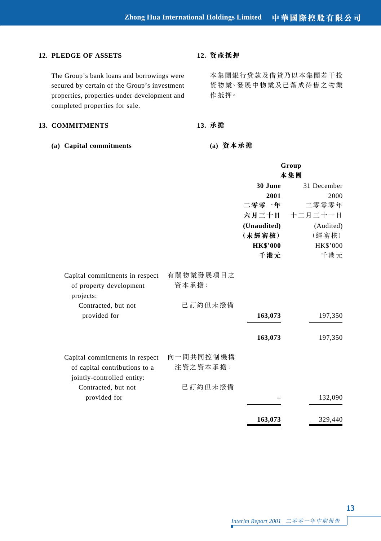### **12. PLEDGE OF ASSETS**

The Group's bank loans and borrowings were secured by certain of the Group's investment properties, properties under development and completed properties for sale.

#### **13. COMMITMENTS**

**(a) Capital commitments**

### **12. 資產抵押**

本集團銀行貸款及借貸乃以本集團若干投 資物業、發展中物業及已落成待售之物業 作抵押。

#### **13. 承擔**

**(a) 資本承擔**

|                                                                        |                    |                 | Group<br>本集團 |
|------------------------------------------------------------------------|--------------------|-----------------|--------------|
|                                                                        |                    | 30 June         | 31 December  |
|                                                                        |                    | 2001            | 2000         |
|                                                                        |                    | 二零零一年           | 二零零零年        |
|                                                                        |                    | 六月三十日           | 十二月三十一日      |
|                                                                        |                    | (Unaudited)     | (Audited)    |
|                                                                        |                    | (未經審核)          | (經審核)        |
|                                                                        |                    | <b>HK\$'000</b> | HK\$'000     |
|                                                                        |                    | 千港元             | 千港元          |
| Capital commitments in respect<br>of property development<br>projects: | 有關物業發展項目之<br>資本承擔: |                 |              |
| Contracted, but not                                                    | 已訂約但未撥備            |                 |              |
| provided for                                                           |                    | 163,073         | 197,350      |
|                                                                        |                    | 163,073         | 197,350      |
| Capital commitments in respect                                         | 向一間共同控制機構          |                 |              |
| of capital contributions to a<br>jointly-controlled entity:            | 注資之資本承擔:           |                 |              |
| Contracted, but not                                                    | 已訂約但未撥備            |                 |              |
| provided for                                                           |                    |                 | 132,090      |
|                                                                        |                    | 163,073         | 329,440      |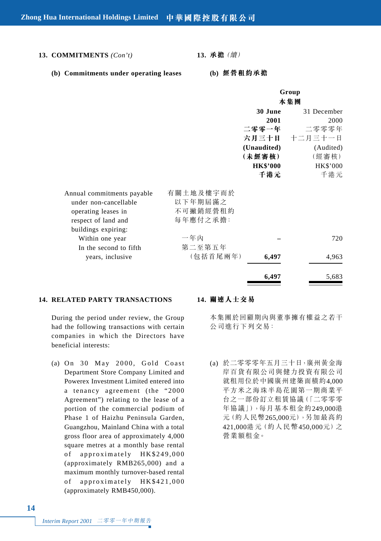**13. COMMITMENTS** *(Con't)*

**13. 承擔**(續)

**(b) Commitments under operating leases**

**(b) 經營租約承擔**

|                            |           |                 | Group         |
|----------------------------|-----------|-----------------|---------------|
|                            |           |                 | 本集團           |
|                            |           | 30 June         | 31 December   |
|                            |           | 2001            | 2000          |
|                            |           | 二零零一年           | 二零零零年         |
|                            |           |                 | 六月三十日 十二月三十一日 |
|                            |           | (Unaudited)     | (Audited)     |
|                            |           | (未經審核)          | (經審核)         |
|                            |           | <b>HK\$'000</b> | HK\$'000      |
|                            |           | 千港元             | 千港元           |
|                            |           |                 |               |
| Annual commitments payable | 有關土地及樓宇而於 |                 |               |
| under non-cancellable      | 以下年期屆滿之   |                 |               |
| operating leases in        | 不可撇銷經營租約  |                 |               |
| respect of land and        | 每年應付之承擔:  |                 |               |
| buildings expiring:        |           |                 |               |
| Within one year            | 一年內       |                 | 720           |
| In the second to fifth     | 第二至第五年    |                 |               |
| years, inclusive           | (包括首尾兩年)  | 6,497           | 4,963         |
|                            |           | 6,497           | 5,683         |

#### **14. RELATED PARTY TRANSACTIONS**

During the period under review, the Group had the following transactions with certain companies in which the Directors have beneficial interests:

(a) On 30 May 2000, Gold Coast Department Store Company Limited and Powerex Investment Limited entered into a tenancy agreement (the "2000 Agreement") relating to the lease of a portion of the commercial podium of Phase 1 of Haizhu Peninsula Garden, Guangzhou, Mainland China with a total gross floor area of approximately 4,000 square metres at a monthly base rental of approximately HK\$249,000 (approximately RMB265,000) and a maximum monthly turnover-based rental of approximately HK\$421,000 (approximately RMB450,000).

#### **14. 關連人士交易**

本集團於回顧期內與董事擁有權益之若干 公司進行下列交易:

(a) 於二零零零年五月三十日,廣州黃金海 岸百貨有限公司與健力投資有限公司 就租用位於中國廣州建築面積約4,000 平方米之海珠半島花園第一期商業平 台之一部份訂立租賃協議(「二零零零 年協議」),每月基本租金約249,000港 元(約人民幣265,000元),另加最高約 421,000港元(約人民幣450,000元)之 營業額租金。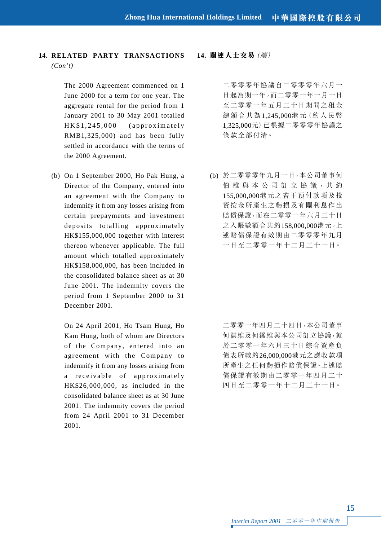**14. RELATED PARTY TRANSACTIONS** *(Con't)*

> The 2000 Agreement commenced on 1 June 2000 for a term for one year. The aggregate rental for the period from 1 January 2001 to 30 May 2001 totalled HK\$1,245,000 (approximately RMB1,325,000) and has been fully settled in accordance with the terms of the 2000 Agreement.

(b) On 1 September 2000, Ho Pak Hung, a Director of the Company, entered into an agreement with the Company to indemnify it from any losses arising from certain prepayments and investment deposits totalling approximately HK\$155,000,000 together with interest thereon whenever applicable. The full amount which totalled approximately HK\$158,000,000, has been included in the consolidated balance sheet as at 30 June 2001. The indemnity covers the period from 1 September 2000 to 31 December 2001.

On 24 April 2001, Ho Tsam Hung, Ho Kam Hung, both of whom are Directors of the Company, entered into an agreement with the Company to indemnify it from any losses arising from a receivable of approximately HK\$26,000,000, as included in the consolidated balance sheet as at 30 June 2001. The indemnity covers the period from 24 April 2001 to 31 December 2001.

#### **14. 關連人士交易**(續)

二零零零年協議自二零零零年六月一 日起為期一年,而二零零一年一月一日 至二零零一年五月三十日期間之租金 總額合共為1,245,000港元(約人民幣 1,325,000元)已根據二零零零年協議之 條款全部付清。

(b) 於二零零零年九月一日,本公司董事何 伯 雄 與 本 公 司 訂 立 協 議,共 約 155,000,000港元之若干預付款項及投 資按金所產生之虧損及有關利息作出 賠償保證,而在二零零一年六月三十日 之入賬數額合共約158,000,000港元。上 述賠償保證有效期由二零零零年九月 一日至二零零一年十二月三十一日。

> 二零零一年四月二十四日,本公司董事 何湛雄及何鑑雄與本公司訂立協議,就 於二零零一年六月三十日綜合資產負 債表所載約26,000,000港元之應收款項 所產生之任何虧損作賠償保證。上述賠 償保證有效期由二零零一年四月二十 四日至二零零一年十二月三十一日。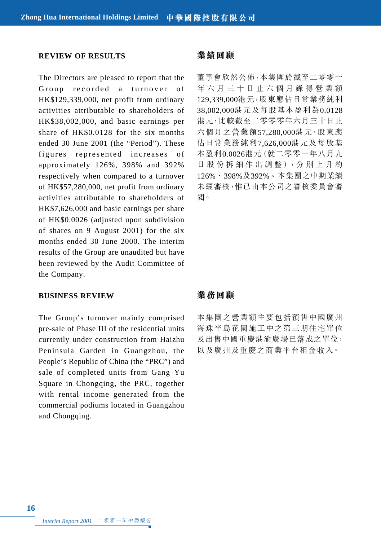#### **REVIEW OF RESULTS**

The Directors are pleased to report that the Group recorded a turnover of HK\$129,339,000, net profit from ordinary activities attributable to shareholders of HK\$38,002,000, and basic earnings per share of HK\$0.0128 for the six months ended 30 June 2001 (the "Period"). These figures represented increases of approximately 126%, 398% and 392% respectively when compared to a turnover of HK\$57,280,000, net profit from ordinary activities attributable to shareholders of HK\$7,626,000 and basic earnings per share of HK\$0.0026 (adjusted upon subdivision of shares on 9 August 2001) for the six months ended 30 June 2000. The interim results of the Group are unaudited but have been reviewed by the Audit Committee of the Company.

#### **BUSINESS REVIEW**

The Group's turnover mainly comprised pre-sale of Phase III of the residential units currently under construction from Haizhu Peninsula Garden in Guangzhou, the People's Republic of China (the "PRC") and sale of completed units from Gang Yu Square in Chongqing, the PRC, together with rental income generated from the commercial podiums located in Guangzhou and Chongqing.

## **業績回顧**

董事會欣然公佈,本集團於截至二零零一 年六月三十日止六個月錄得營業額 129,339,000港元,股東應佔日常業務純利 38,002,000港元及每股基本盈利為0.0128 港元,比較截至二零零零年六月三十日止 六個月之營業額57,280,000港元、股東應 佔日常業務純利7,626,000港元及每股基 本盈利0.0026港元(就二零零一年八月九 日股份拆細作出調整),分 別 上 升 約 126%、398%及392%。本集團之中期業績 未經審核,惟已由本公司之審核委員會審 閱。

#### **業務回顧**

本集團之營業額主要包括預售中國廣州 海珠半島花園施工中之第三期住宅單位 及出售中國重慶港渝廣場已落成之單位, 以及廣州及重慶之商業平台租金收入。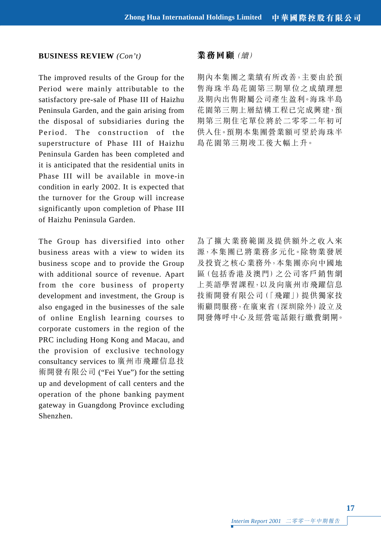#### **BUSINESS REVIEW** *(Con't)*

The improved results of the Group for the Period were mainly attributable to the satisfactory pre-sale of Phase III of Haizhu Peninsula Garden, and the gain arising from the disposal of subsidiaries during the Period. The construction of the superstructure of Phase III of Haizhu Peninsula Garden has been completed and it is anticipated that the residential units in Phase III will be available in move-in condition in early 2002. It is expected that the turnover for the Group will increase significantly upon completion of Phase III of Haizhu Peninsula Garden.

The Group has diversified into other business areas with a view to widen its business scope and to provide the Group with additional source of revenue. Apart from the core business of property development and investment, the Group is also engaged in the businesses of the sale of online English learning courses to corporate customers in the region of the PRC including Hong Kong and Macau, and the provision of exclusive technology consultancy services to 廣州市飛躍信息技 術開發有限公司 ("Fei Yue") for the setting up and development of call centers and the operation of the phone banking payment gateway in Guangdong Province excluding Shenzhen.

#### **業務回顧**(續)

期內本集團之業績有所改善,主要由於預 售海珠半島花園第三期單位之成績理想 及期內出售附屬公司產生盈利。海珠半島 花園第三期上層結構工程已完成興建,預 期第三期住宅單位將於二零零二年初可 供入住。預期本集團營業額可望於海珠半 島花園第三期竣工後大幅上升。

為了擴大業務範圍及提供額外之收入來 源,本集團已將業務多元化。除物業發展 及投資之核心業務外,本集團亦向中國地 區(包括香港及澳門)之公司客戶銷售網 上英語學習課程,以及向廣州市飛躍信息 技術開發有限公司(「飛躍」)提供獨家技 術顧問服務,在廣東省(深圳除外)設立及 開發傳呼中心及經營電話銀行繳費網閘。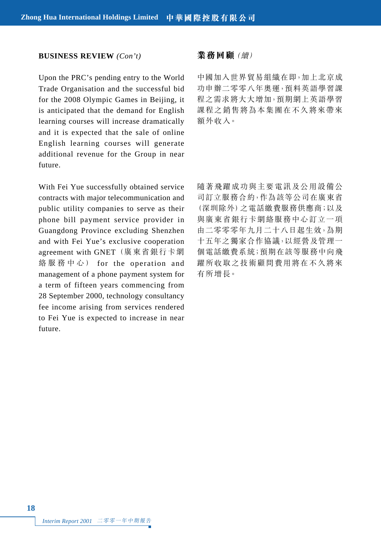#### **BUSINESS REVIEW** *(Con't)*

Upon the PRC's pending entry to the World Trade Organisation and the successful bid for the 2008 Olympic Games in Beijing, it is anticipated that the demand for English learning courses will increase dramatically and it is expected that the sale of online English learning courses will generate additional revenue for the Group in near future.

With Fei Yue successfully obtained service contracts with major telecommunication and public utility companies to serve as their phone bill payment service provider in Guangdong Province excluding Shenzhen and with Fei Yue's exclusive cooperation agreement with GNET (廣東省銀行卡網 絡服務中心) for the operation and management of a phone payment system for a term of fifteen years commencing from 28 September 2000, technology consultancy fee income arising from services rendered to Fei Yue is expected to increase in near future.

#### **業務回顧**(續)

中國加入世界貿易組織在即,加上北京成 功申辦二零零八年奧運,預料英語學習課 程之需求將大大增加,預期網上英語學習 課程之銷售將為本集團在不久將來帶來 額外收入。

隨著飛躍成功與主要電訊及公用設備公 司訂立服務合約,作為該等公司在廣東省 (深圳除外)之電話繳費服務供應商;以及 與廣東省銀行卡網絡服務中心訂立一項 由二零零零年九月二十八日起生效,為期 十五年之獨家合作協議,以經營及管理一 個電話繳費系統;預期在該等服務中向飛 躍所收取之技術顧問費用將在不久將來 有所增長。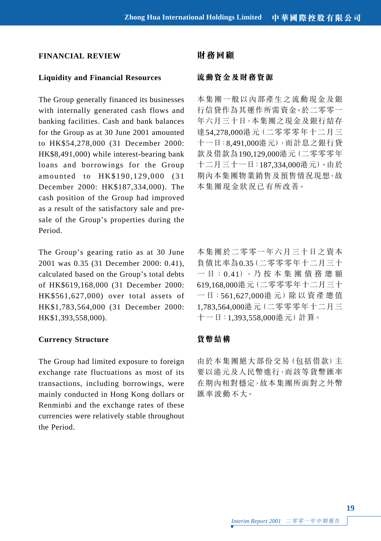## **FINANCIAL REVIEW**

## **Liquidity and Financial Resources**

The Group generally financed its businesses with internally generated cash flows and banking facilities. Cash and bank balances for the Group as at 30 June 2001 amounted to HK\$54,278,000 (31 December 2000: HK\$8,491,000) while interest-bearing bank loans and borrowings for the Group amounted to HK\$190,129,000 (31 December 2000: HK\$187,334,000). The cash position of the Group had improved as a result of the satisfactory sale and presale of the Group's properties during the Period.

The Group's gearing ratio as at 30 June 2001 was 0.35 (31 December 2000: 0.41), calculated based on the Group's total debts of HK\$619,168,000 (31 December 2000: HK\$561,627,000) over total assets of HK\$1,783,564,000 (31 December 2000: HK\$1,393,558,000).

## **Currency Structure**

The Group had limited exposure to foreign exchange rate fluctuations as most of its transactions, including borrowings, were mainly conducted in Hong Kong dollars or Renminbi and the exchange rates of these currencies were relatively stable throughout the Period.

## **財務回顧**

## **流動資金及財務資源**

本集團一般以內部產生之流動現金及銀 行信貸作為其運作所需資金。於二零零一 年六月三十日,本集團之現金及銀行結存 達54,278,000港元(二零零零年十二月三 十一日:8,491,000港元),而計息之銀行貸 款及借款為190,129,000港元(二零零零年 十二月三十一日:187,334,000港元)。由於 期內本集團物業銷售及預售情況現想,故 本集團現金狀況已有所改善。

本集團於二零零一年六月三十日之資本 負債比率為0.35(二零零零年十二月三十 一 日:0.41),乃 按 本 集 團 債 務 總 額 619,168,000港元(二零零零年十二月三十 一 日:561,627,000港 元)除 以 資 產 總 值 1,783,564,000港元(二零零零年十二月三 十一日:1,393,558,000港元)計算。

## **貨幣結構**

由於本集團絕大部份交易(包括借款)主 要以港元及人民幣進行,而該等貨幣匯率 在期內相對穩定,故本集團所面對之外幣 匯率波動不大。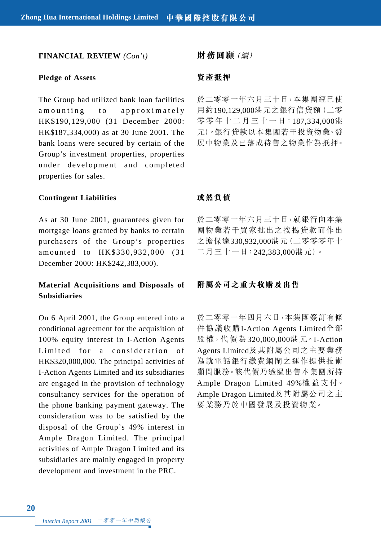#### **FINANCIAL REVIEW** *(Con't)*

#### **Pledge of Assets**

The Group had utilized bank loan facilities amounting to approximately HK\$190,129,000 (31 December 2000: HK\$187,334,000) as at 30 June 2001. The bank loans were secured by certain of the Group's investment properties, properties under development and completed properties for sales.

#### **Contingent Liabilities**

As at 30 June 2001, guarantees given for mortgage loans granted by banks to certain purchasers of the Group's properties amounted to HK\$330,932,000 (31 December 2000: HK\$242,383,000).

# **Material Acquisitions and Disposals of Subsidiaries**

On 6 April 2001, the Group entered into a conditional agreement for the acquisition of 100% equity interest in I-Action Agents Limited for a consideration of HK\$320,000,000. The principal activities of I-Action Agents Limited and its subsidiaries are engaged in the provision of technology consultancy services for the operation of the phone banking payment gateway. The consideration was to be satisfied by the disposal of the Group's 49% interest in Ample Dragon Limited. The principal activities of Ample Dragon Limited and its subsidiaries are mainly engaged in property development and investment in the PRC.

**財務回顧**(續)

#### **資產抵押**

於二零零一年六月三十日,本集團經已使 用約190,129,000港元之銀行信貸額(二零 零零 年十 二 月三 十一 日:187,334,000港 元)。銀行貸款以本集團若干投資物業、發 展中物業及已落成待售之物業作為抵押。

#### **或然負債**

於二零零一年六月三十日,就銀行向本集 團物業若干買家批出之按揭貸款而作出 之擔保達330,932,000港元(二零零零年十 二月三十一日:242,383,000港元)。

## **附屬公司之重大收購及出售**

於二零零一年四月六日,本集團簽訂有條 件協議收購I-Action Agents Limited全部 股 權,代 價 為 320,000,000港 元。I-Action Agents Limited及其附屬公司之主要業務 為就電話銀行繳費網閘之運作提供技術 顧問服務。該代價乃透過出售本集團所持 Ample Dragon Limited 49%權 益 支 付。 Ample Dragon Limited及其附屬公司之主 要業務乃於中國發展及投資物業。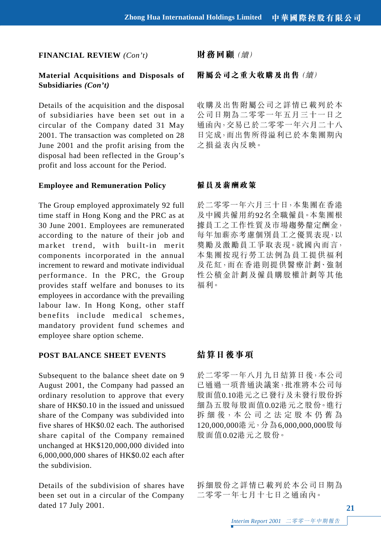#### **FINANCIAL REVIEW** *(Con't)*

## **Material Acquisitions and Disposals of Subsidiaries** *(Con't)*

Details of the acquisition and the disposal of subsidiaries have been set out in a circular of the Company dated 31 May 2001. The transaction was completed on 28 June 2001 and the profit arising from the disposal had been reflected in the Group's profit and loss account for the Period.

#### **Employee and Remuneration Policy**

The Group employed approximately 92 full time staff in Hong Kong and the PRC as at 30 June 2001. Employees are remunerated according to the nature of their job and market trend, with built-in merit components incorporated in the annual increment to reward and motivate individual performance. In the PRC, the Group provides staff welfare and bonuses to its employees in accordance with the prevailing labour law. In Hong Kong, other staff benefits include medical schemes, mandatory provident fund schemes and employee share option scheme.

### **POST BALANCE SHEET EVENTS**

Subsequent to the balance sheet date on 9 August 2001, the Company had passed an ordinary resolution to approve that every share of HK\$0.10 in the issued and unissued share of the Company was subdivided into five shares of HK\$0.02 each. The authorised share capital of the Company remained unchanged at HK\$120,000,000 divided into 6,000,000,000 shares of HK\$0.02 each after the subdivision.

Details of the subdivision of shares have been set out in a circular of the Company dated 17 July 2001.

**財務回顧**(續)

## **附屬公司之重大收購及出售**(續)

收購及出售附屬公司之詳情已載列於本 公司日期為二零零一年五月三十一日之 通函內,交易已於二零零一年六月二十八 日完成,而出售所得溢利已於本集團期內 之損益表內反映。

#### **僱員及薪酬政策**

於二零零一年六月三十日,本集團在香港 及中國共僱用約92名全職僱員。本集團根 據員工之工作性質及市場趨勢釐定酬金, 每年加薪亦考慮個別員工之優異表現,以 獎勵及激勵員工爭取表現。就國內而言, 本集團按現行勞工法例為員工提供福利 及花紅,而在香港則提供醫療計劃、強制 性公積金計劃及僱員購股權計劃等其他 福利。

# **結算日後事項**

於二零零一年八月九日結算日後,本公司 已通過一項普通決議案,批准將本公司每 股面值0.10港元之已發行及未發行股份拆 細為五股每股面值0.02港元之股份。進行 拆 細 後,本 公 司 之 法 定 股 本 仍 舊 為 120,000,000港元,分為6,000,000,000股每 股面值0.02港元之股份。

拆細股份之詳情已載列於本公司日期為 二零零一年七月十七日之通函內。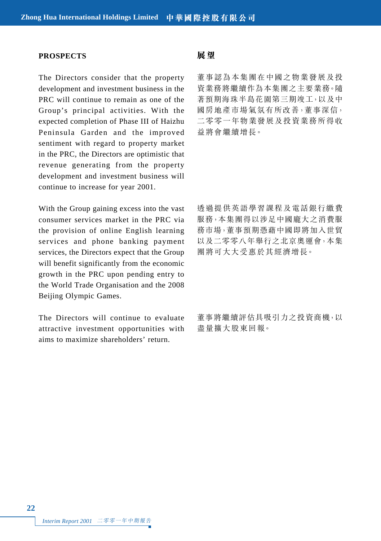#### **PROSPECTS**

The Directors consider that the property development and investment business in the PRC will continue to remain as one of the Group's principal activities. With the expected completion of Phase III of Haizhu Peninsula Garden and the improved sentiment with regard to property market in the PRC, the Directors are optimistic that revenue generating from the property development and investment business will continue to increase for year 2001.

With the Group gaining excess into the vast consumer services market in the PRC via the provision of online English learning services and phone banking payment services, the Directors expect that the Group will benefit significantly from the economic growth in the PRC upon pending entry to the World Trade Organisation and the 2008 Beijing Olympic Games.

The Directors will continue to evaluate attractive investment opportunities with aims to maximize shareholders' return.

# **展望**

董事認為本集團在中國之物業發展及投 資業務將繼續作為本集團之主要業務。隨 著預期海珠半島花園第三期竣工,以及中 國房地產市場氣氛有所改善,董事深信, 二零零一年物業發展及投資業務所得收 益將會繼續增長。

透過提供英語學習課程及電話銀行繳費 服務,本集團得以涉足中國龐大之消費服 務市場,董事預期憑藉中國即將加入世貿 以及二零零八年舉行之北京奧運會,本集 團將可大大受惠於其經濟增長。

董事將繼續評估具吸引力之投資商機,以 盡量擴大股東回報。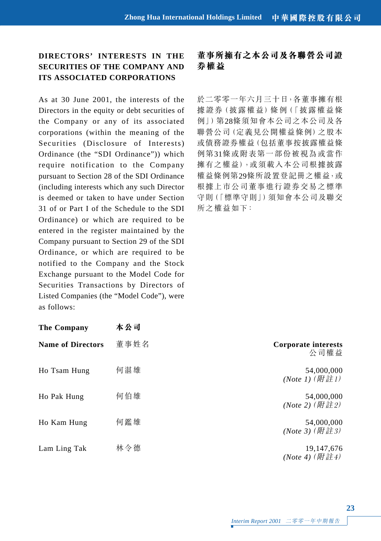# **DIRECTORS' INTERESTS IN THE SECURITIES OF THE COMPANY AND ITS ASSOCIATED CORPORATIONS**

As at 30 June 2001, the interests of the Directors in the equity or debt securities of the Company or any of its associated corporations (within the meaning of the Securities (Disclosure of Interests) Ordinance (the "SDI Ordinance")) which require notification to the Company pursuant to Section 28 of the SDI Ordinance (including interests which any such Director is deemed or taken to have under Section 31 of or Part I of the Schedule to the SDI Ordinance) or which are required to be entered in the register maintained by the Company pursuant to Section 29 of the SDI Ordinance, or which are required to be notified to the Company and the Stock Exchange pursuant to the Model Code for Securities Transactions by Directors of Listed Companies (the "Model Code"), were as follows:

| <b>The Company</b>       | 本公司  |
|--------------------------|------|
| <b>Name of Directors</b> | 董事姓名 |
| Ho Tsam Hung             | 何湛雄  |
| Ho Pak Hung              | 何伯雄  |
| Ho Kam Hung              | 何鑑雄  |
| Lam Ling Tak             | 林令德  |

# **董事所擁有之本公司及各聯營公司證 券權益**

於二零零一年六月三十日,各董事擁有根 據證券(披露權益)條例(「披露權益條 例」)第28條須知會本公司之本公司及各 聯營公司(定義見公開權益條例)之股本 或債務證券權益(包括董事按披露權益條 例第31條或附表第一部份被視為或當作 擁有之權益),或須載入本公司根據披露 權益條例第29條所設置登記冊之權益,或 根據上市公司董事進行證券交易之標準 守則(「標準守則」)須知會本公司及聯交 所之權益如下:

| The Company              | 本公司  |                                  |
|--------------------------|------|----------------------------------|
| <b>Name of Directors</b> | 董事姓名 | Corporate interests<br>公司權益      |
| Ho Tsam Hung             | 何湛雄  | 54,000,000<br>(Note 1) (附註1)     |
| Ho Pak Hung              | 何伯雄  | 54,000,000<br>(Note 2) (附註2)     |
| Ho Kam Hung              | 何鑑雄  | 54,000,000<br>(Note 3) (附註3)     |
| Lam Ling Tak             | 林令德  | 19, 147, 676<br>$(Note 4)$ (附註4) |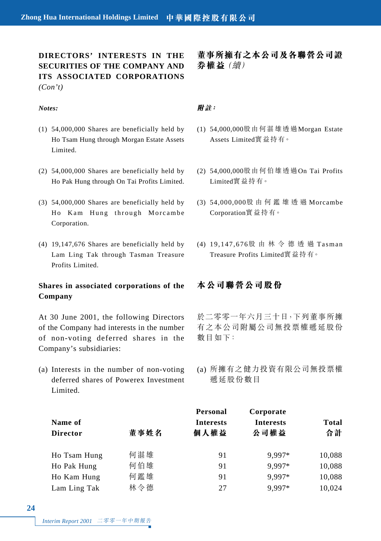**DIRECTORS' INTERESTS IN THE SECURITIES OF THE COMPANY AND ITS ASSOCIATED CORPORATIONS** *(Con't)*

#### *Notes:*

- (1) 54,000,000 Shares are beneficially held by Ho Tsam Hung through Morgan Estate Assets Limited.
- (2) 54,000,000 Shares are beneficially held by Ho Pak Hung through On Tai Profits Limited.
- (3) 54,000,000 Shares are beneficially held by Ho Kam Hung through Morcambe Corporation.
- (4) 19,147,676 Shares are beneficially held by Lam Ling Tak through Tasman Treasure Profits Limited.

# **Shares in associated corporations of the Company**

At 30 June 2001, the following Directors of the Company had interests in the number of non-voting deferred shares in the Company's subsidiaries:

(a) Interests in the number of non-voting deferred shares of Powerex Investment Limited.

**董事所擁有之本公司及各聯營公司證 券權益**(續)

## **附註:**

- (1) 54,000,000股由何湛雄透過Morgan Estate Assets Limited實益持有。
- (2) 54,000,000股由何伯雄透過On Tai Profits Limited實益持有。
- (3) 54,000,000股由何鑑雄透過 Morcambe Corporation實益持有。
- (4) 19,147,676股由林令德透過 Tasman Treasure Profits Limited實益持有。

# **本公司聯營公司股份**

於二零零一年六月三十日,下列董事所擁 有之本公司附屬公司無投票權遞延股份 數目如下:

(a) 所擁有之健力投資有限公司無投票權 遞延股份數目

|                 |      | Personal         | Corporate        |              |
|-----------------|------|------------------|------------------|--------------|
| Name of         |      | <b>Interests</b> | <b>Interests</b> | <b>Total</b> |
| <b>Director</b> | 董事姓名 | 個人權益             | 公司權益             | 合計           |
| Ho Tsam Hung    | 何湛雄  | 91               | 9.997*           | 10,088       |
| Ho Pak Hung     | 何伯雄  | 91               | 9.997*           | 10,088       |
| Ho Kam Hung     | 何鑑雄  | 91               | 9.997*           | 10,088       |
| Lam Ling Tak    | 林令德  | 27               | 9.997*           | 10.024       |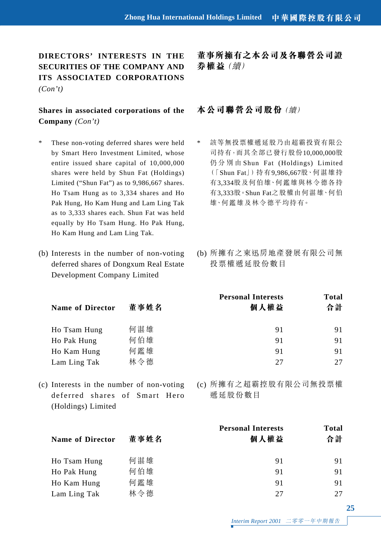**DIRECTORS' INTERESTS IN THE SECURITIES OF THE COMPANY AND ITS ASSOCIATED CORPORATIONS** *(Con't)*

# **Shares in associated corporations of the Company** *(Con't)*

- These non-voting deferred shares were held by Smart Hero Investment Limited, whose entire issued share capital of 10,000,000 shares were held by Shun Fat (Holdings) Limited ("Shun Fat") as to 9,986,667 shares. Ho Tsam Hung as to 3,334 shares and Ho Pak Hung, Ho Kam Hung and Lam Ling Tak as to 3,333 shares each. Shun Fat was held equally by Ho Tsam Hung. Ho Pak Hung, Ho Kam Hung and Lam Ling Tak.
- (b) Interests in the number of non-voting deferred shares of Dongxum Real Estate Development Company Limited

**董事所擁有之本公司及各聯營公司證 券權益**(續)

# **本公司聯營公司股份**(續)

- \* 該等無投票權遞延股乃由超霸投資有限公 司持有,而其全部已發行股份10,000,000股 仍分別由 Shun Fat (Holdings) Limited (「Shun Fat」)持有9,986,667股、何湛雄持 有3,334股及何伯雄、何鑑雄與林令德各持 有3,333股。Shun Fat之股權由何湛雄、何伯 雄、何鑑雄及林令德平均持有。
- (b) 所擁有之東迅房地產發展有限公司無 投票權遞延股份數目

| <b>Name of Director</b> | 董事姓名 | <b>Personal Interests</b><br>個人權益 | Total<br>合計 |
|-------------------------|------|-----------------------------------|-------------|
| Ho Tsam Hung            | 何湛雄  | 91                                | 91          |
| Ho Pak Hung             | 何伯雄  | 91                                | 91          |
| Ho Kam Hung             | 何鑑雄  | 91                                | 91          |
| Lam Ling Tak            | 林令德  | 27                                | 27          |
|                         |      |                                   |             |

(c) Interests in the number of non-voting deferred shares of Smart Hero (Holdings) Limited

(c) 所擁有之超霸控股有限公司無投票權 遞延股份數目

|     | <b>Personal Interests</b> | Total |
|-----|---------------------------|-------|
|     |                           | 合計    |
| 何湛雄 | 91                        | 91    |
| 何伯雄 | 91                        | 91    |
| 何鑑雄 | 91                        | 91    |
| 林令德 | 27                        | 27    |
|     | 董事姓名                      | 個人權益  |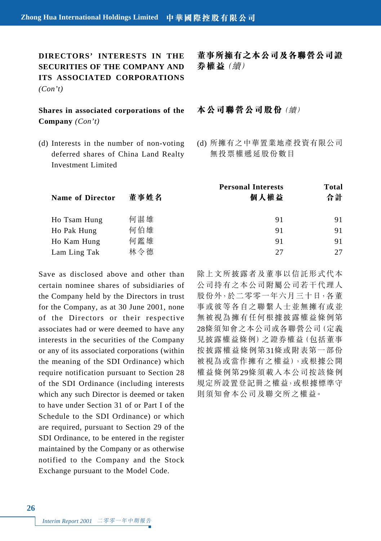**DIRECTORS' INTERESTS IN THE SECURITIES OF THE COMPANY AND ITS ASSOCIATED CORPORATIONS** *(Con't)*

# **Shares in associated corporations of the Company** *(Con't)*

(d) Interests in the number of non-voting deferred shares of China Land Realty Investment Limited

**董事所擁有之本公司及各聯營公司證 券權益**(續)

## **本公司聯營公司股份**(續)

(d) 所擁有之中華置業地產投資有限公司 無投票權遞延股份數目

|      | <b>Personal Interests</b> | Total |  |
|------|---------------------------|-------|--|
| 董事姓名 | 個人權益                      | 合計    |  |
| 何湛雄  | 91                        | 91    |  |
| 何伯雄  | 91                        | 91    |  |
| 何鑑雄  | 91                        | 91    |  |
| 林令德  | 27                        | 27    |  |
|      |                           |       |  |

Save as disclosed above and other than certain nominee shares of subsidiaries of the Company held by the Directors in trust for the Company, as at 30 June 2001, none of the Directors or their respective associates had or were deemed to have any interests in the securities of the Company or any of its associated corporations (within the meaning of the SDI Ordinance) which require notification pursuant to Section 28 of the SDI Ordinance (including interests which any such Director is deemed or taken to have under Section 31 of or Part I of the Schedule to the SDI Ordinance) or which are required, pursuant to Section 29 of the SDI Ordinance, to be entered in the register maintained by the Company or as otherwise notified to the Company and the Stock Exchange pursuant to the Model Code.

除上文所披露者及董事以信託形式代本 公司持有之本公司附屬公司若干代理人 股份外,於二零零一年六月三十日,各董 事或彼等各自之聯繫人士並無擁有或並 無被視為擁有任何根據披露權益條例第 28條須知會之本公司或各聯營公司(定義 見披露權益條例)之證券權益(包括董事 按披露權益條例第31條或附表第一部份 被視為或當作擁有之權益),或根據公開 權益條例第29條須載入本公司按該條例 規定所設置登記冊之權益,或根據標準守 則須知會本公司及聯交所之權益。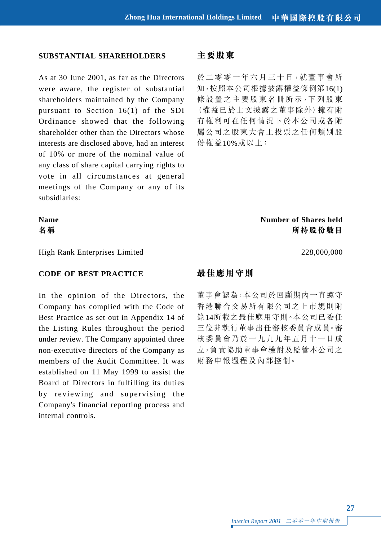## **SUBSTANTIAL SHAREHOLDERS**

As at 30 June 2001, as far as the Directors were aware, the register of substantial shareholders maintained by the Company pursuant to Section 16(1) of the SDI Ordinance showed that the following shareholder other than the Directors whose interests are disclosed above, had an interest of 10% or more of the nominal value of any class of share capital carrying rights to vote in all circumstances at general meetings of the Company or any of its subsidiaries:

## **主要股東**

於二零零一年六月三十日,就董事會所 知,按照本公司根據披露權益條例第16(1) 條設置之主要股東名冊所示,下列股東 (權益已於上文披露之董事除外)擁有附 有權利可在任何情況下於本公司或各附 屬公司之股東大會上投票之任何類別股 份權益10%或以上:

**Name** Number of Shares held **名稱 所持股份數目**

High Rank Enterprises Limited 228,000,000

#### **CODE OF BEST PRACTICE**

In the opinion of the Directors, the Company has complied with the Code of Best Practice as set out in Appendix 14 of the Listing Rules throughout the period under review. The Company appointed three non-executive directors of the Company as members of the Audit Committee. It was established on 11 May 1999 to assist the Board of Directors in fulfilling its duties by reviewing and supervising the Company's financial reporting process and internal controls.

# **最佳應用守則**

董事會認為,本公司於回顧期內一直遵守 香港聯合交易所有限公司之上市規則附 錄14所載之最佳應用守則。本公司已委任 三位非執行董事出任審核委員會成員。審 核委員會乃於一九九九年五月十一日成 立,負責協助董事會檢討及監管本公司之 財務申報過程及內部控制。